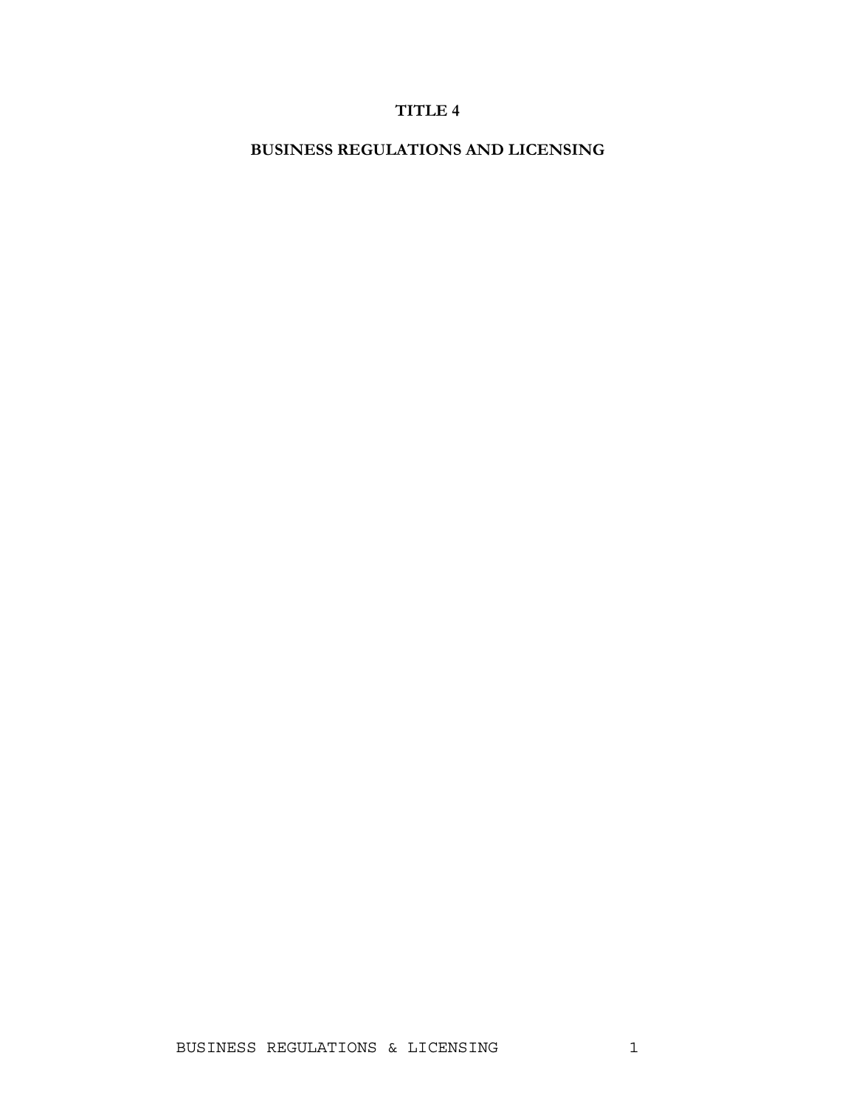# **TITLE 4**

**BUSINESS REGULATIONS AND LICENSING**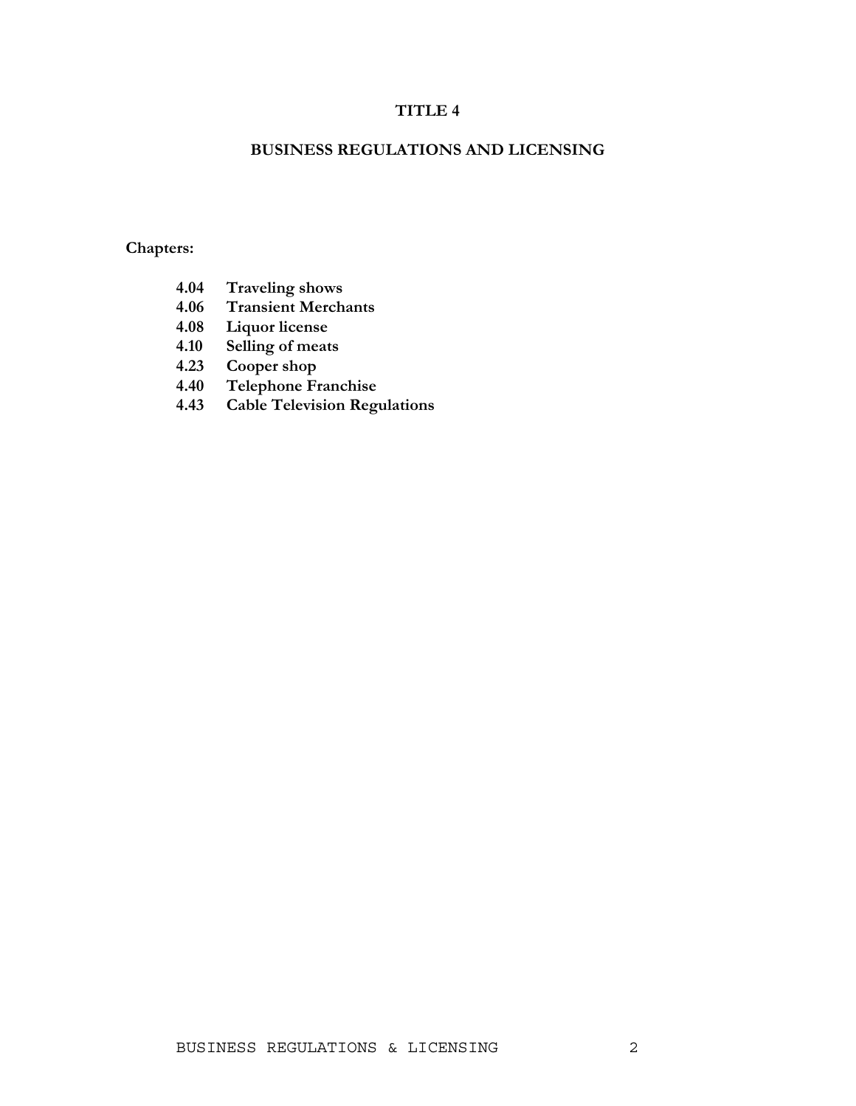## **TITLE 4**

## **BUSINESS REGULATIONS AND LICENSING**

## **Chapters:**

- **4.04 Traveling shows**
- **4.06 Transient Merchants**
- **4.08 Liquor license**
- **4.10 Selling of meats**
- **4.23 Cooper shop**
- **4.40 Telephone Franchise**
- **4.43 Cable Television Regulations**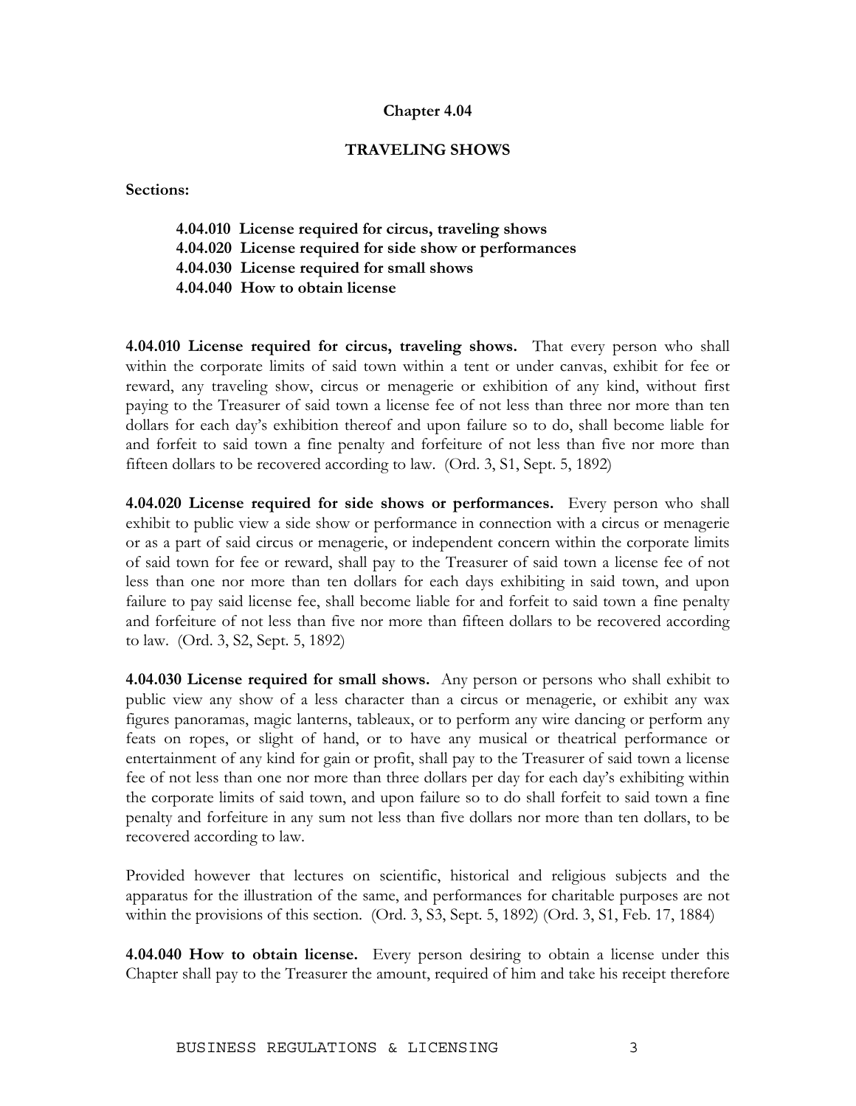#### **TRAVELING SHOWS**

**Sections:** 

- **4.04.010 License required for circus, traveling shows**
- **4.04.020 License required for side show or performances**
- **4.04.030 License required for small shows**
- **4.04.040 How to obtain license**

**4.04.010 License required for circus, traveling shows.** That every person who shall within the corporate limits of said town within a tent or under canvas, exhibit for fee or reward, any traveling show, circus or menagerie or exhibition of any kind, without first paying to the Treasurer of said town a license fee of not less than three nor more than ten dollars for each day's exhibition thereof and upon failure so to do, shall become liable for and forfeit to said town a fine penalty and forfeiture of not less than five nor more than fifteen dollars to be recovered according to law. (Ord. 3, S1, Sept. 5, 1892)

**4.04.020 License required for side shows or performances.** Every person who shall exhibit to public view a side show or performance in connection with a circus or menagerie or as a part of said circus or menagerie, or independent concern within the corporate limits of said town for fee or reward, shall pay to the Treasurer of said town a license fee of not less than one nor more than ten dollars for each days exhibiting in said town, and upon failure to pay said license fee, shall become liable for and forfeit to said town a fine penalty and forfeiture of not less than five nor more than fifteen dollars to be recovered according to law. (Ord. 3, S2, Sept. 5, 1892)

**4.04.030 License required for small shows.** Any person or persons who shall exhibit to public view any show of a less character than a circus or menagerie, or exhibit any wax figures panoramas, magic lanterns, tableaux, or to perform any wire dancing or perform any feats on ropes, or slight of hand, or to have any musical or theatrical performance or entertainment of any kind for gain or profit, shall pay to the Treasurer of said town a license fee of not less than one nor more than three dollars per day for each day's exhibiting within the corporate limits of said town, and upon failure so to do shall forfeit to said town a fine penalty and forfeiture in any sum not less than five dollars nor more than ten dollars, to be recovered according to law.

Provided however that lectures on scientific, historical and religious subjects and the apparatus for the illustration of the same, and performances for charitable purposes are not within the provisions of this section. (Ord. 3, S3, Sept. 5, 1892) (Ord. 3, S1, Feb. 17, 1884)

**4.04.040 How to obtain license.** Every person desiring to obtain a license under this Chapter shall pay to the Treasurer the amount, required of him and take his receipt therefore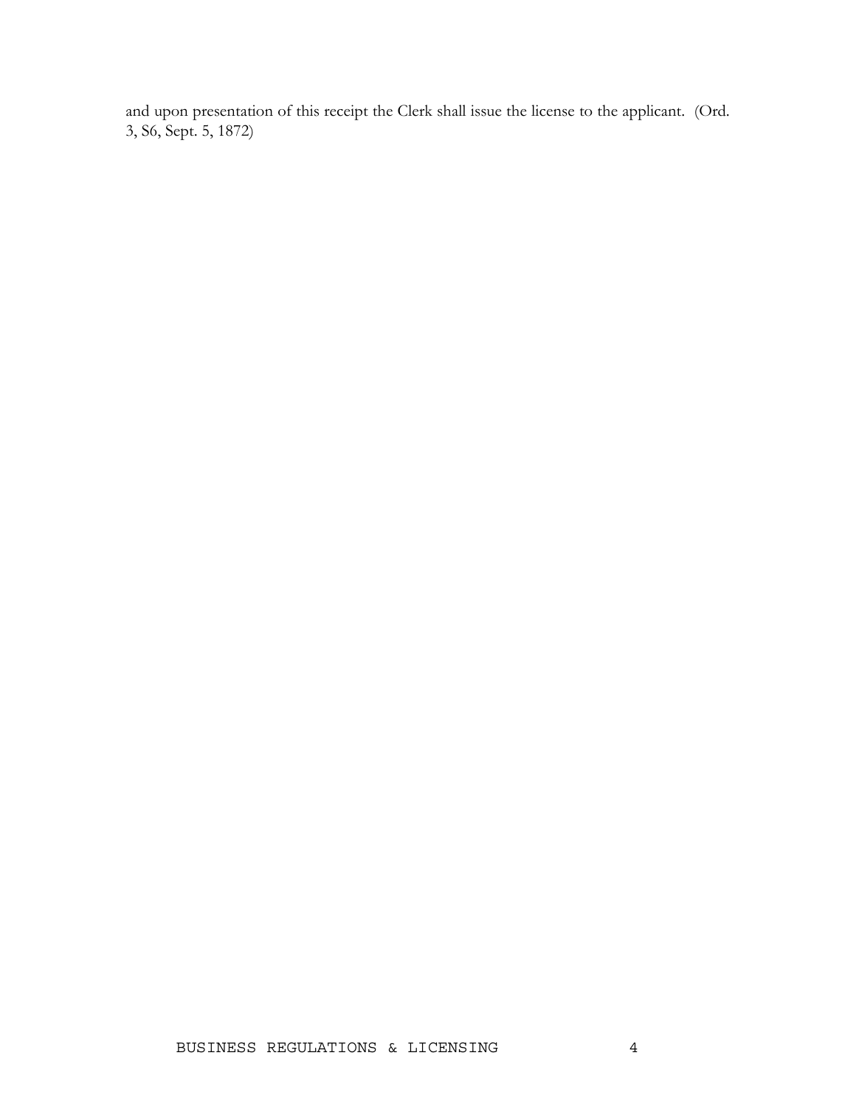and upon presentation of this receipt the Clerk shall issue the license to the applicant. (Ord. 3, S6, Sept. 5, 1872)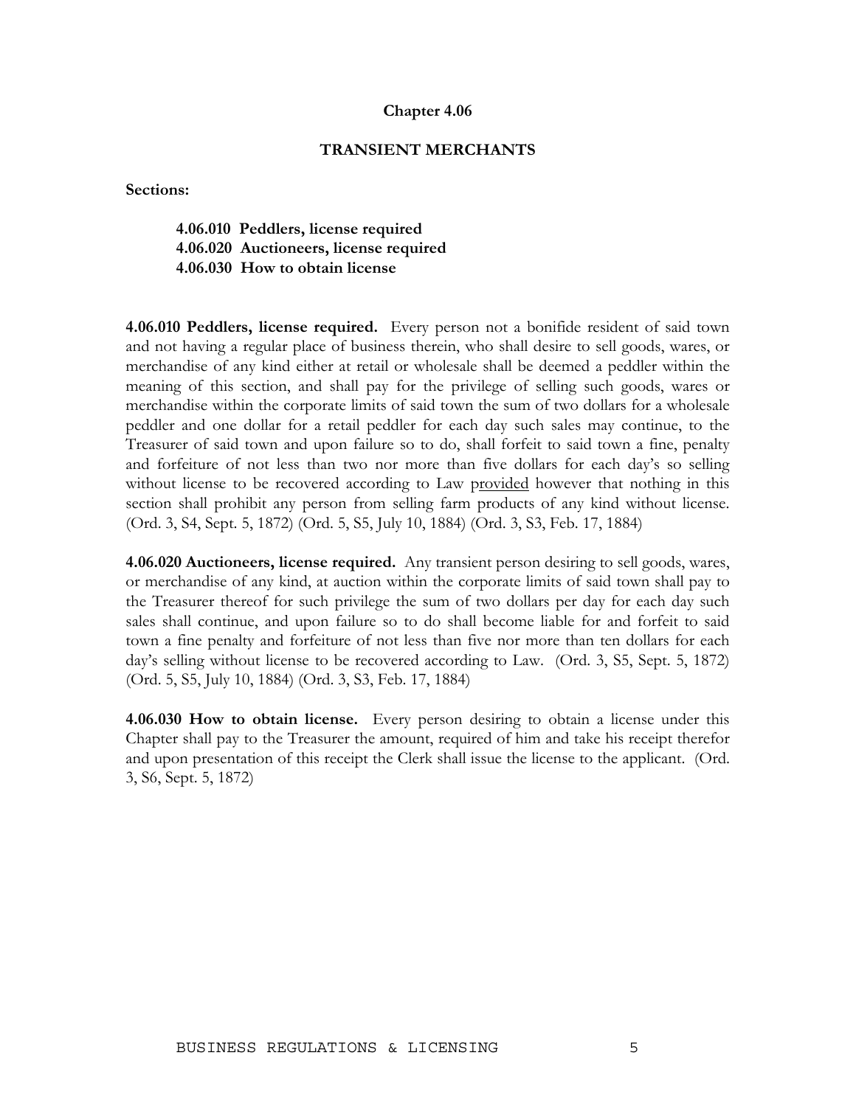#### **TRANSIENT MERCHANTS**

**Sections:** 

**4.06.010 Peddlers, license required 4.06.020 Auctioneers, license required 4.06.030 How to obtain license** 

**4.06.010 Peddlers, license required.** Every person not a bonifide resident of said town and not having a regular place of business therein, who shall desire to sell goods, wares, or merchandise of any kind either at retail or wholesale shall be deemed a peddler within the meaning of this section, and shall pay for the privilege of selling such goods, wares or merchandise within the corporate limits of said town the sum of two dollars for a wholesale peddler and one dollar for a retail peddler for each day such sales may continue, to the Treasurer of said town and upon failure so to do, shall forfeit to said town a fine, penalty and forfeiture of not less than two nor more than five dollars for each day's so selling without license to be recovered according to Law provided however that nothing in this section shall prohibit any person from selling farm products of any kind without license. (Ord. 3, S4, Sept. 5, 1872) (Ord. 5, S5, July 10, 1884) (Ord. 3, S3, Feb. 17, 1884)

**4.06.020 Auctioneers, license required.** Any transient person desiring to sell goods, wares, or merchandise of any kind, at auction within the corporate limits of said town shall pay to the Treasurer thereof for such privilege the sum of two dollars per day for each day such sales shall continue, and upon failure so to do shall become liable for and forfeit to said town a fine penalty and forfeiture of not less than five nor more than ten dollars for each day's selling without license to be recovered according to Law. (Ord. 3, S5, Sept. 5, 1872) (Ord. 5, S5, July 10, 1884) (Ord. 3, S3, Feb. 17, 1884)

**4.06.030 How to obtain license.** Every person desiring to obtain a license under this Chapter shall pay to the Treasurer the amount, required of him and take his receipt therefor and upon presentation of this receipt the Clerk shall issue the license to the applicant. (Ord. 3, S6, Sept. 5, 1872)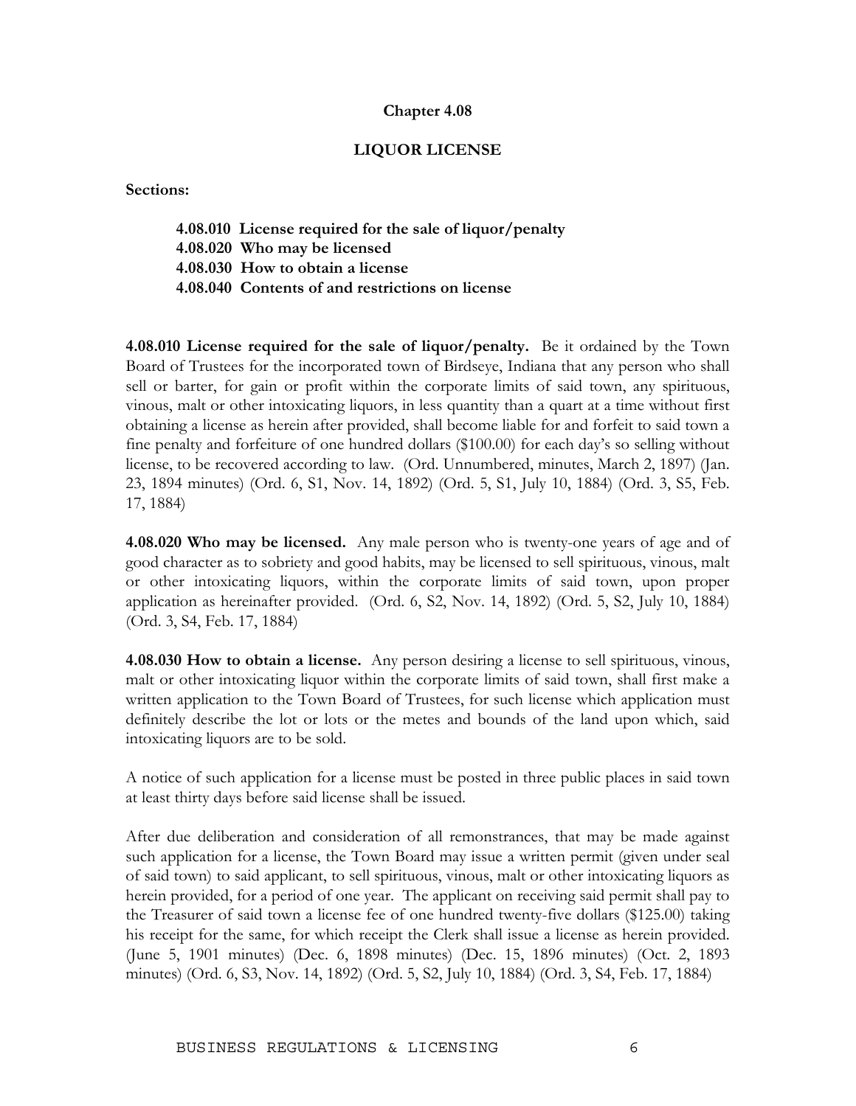#### **LIQUOR LICENSE**

**Sections:** 

**4.08.010 License required for the sale of liquor/penalty 4.08.020 Who may be licensed 4.08.030 How to obtain a license 4.08.040 Contents of and restrictions on license** 

**4.08.010 License required for the sale of liquor/penalty.** Be it ordained by the Town Board of Trustees for the incorporated town of Birdseye, Indiana that any person who shall sell or barter, for gain or profit within the corporate limits of said town, any spirituous, vinous, malt or other intoxicating liquors, in less quantity than a quart at a time without first obtaining a license as herein after provided, shall become liable for and forfeit to said town a fine penalty and forfeiture of one hundred dollars (\$100.00) for each day's so selling without license, to be recovered according to law. (Ord. Unnumbered, minutes, March 2, 1897) (Jan. 23, 1894 minutes) (Ord. 6, S1, Nov. 14, 1892) (Ord. 5, S1, July 10, 1884) (Ord. 3, S5, Feb. 17, 1884)

**4.08.020 Who may be licensed.** Any male person who is twenty-one years of age and of good character as to sobriety and good habits, may be licensed to sell spirituous, vinous, malt or other intoxicating liquors, within the corporate limits of said town, upon proper application as hereinafter provided. (Ord. 6, S2, Nov. 14, 1892) (Ord. 5, S2, July 10, 1884) (Ord. 3, S4, Feb. 17, 1884)

**4.08.030 How to obtain a license.** Any person desiring a license to sell spirituous, vinous, malt or other intoxicating liquor within the corporate limits of said town, shall first make a written application to the Town Board of Trustees, for such license which application must definitely describe the lot or lots or the metes and bounds of the land upon which, said intoxicating liquors are to be sold.

A notice of such application for a license must be posted in three public places in said town at least thirty days before said license shall be issued.

After due deliberation and consideration of all remonstrances, that may be made against such application for a license, the Town Board may issue a written permit (given under seal of said town) to said applicant, to sell spirituous, vinous, malt or other intoxicating liquors as herein provided, for a period of one year. The applicant on receiving said permit shall pay to the Treasurer of said town a license fee of one hundred twenty-five dollars (\$125.00) taking his receipt for the same, for which receipt the Clerk shall issue a license as herein provided. (June 5, 1901 minutes) (Dec. 6, 1898 minutes) (Dec. 15, 1896 minutes) (Oct. 2, 1893 minutes) (Ord. 6, S3, Nov. 14, 1892) (Ord. 5, S2, July 10, 1884) (Ord. 3, S4, Feb. 17, 1884)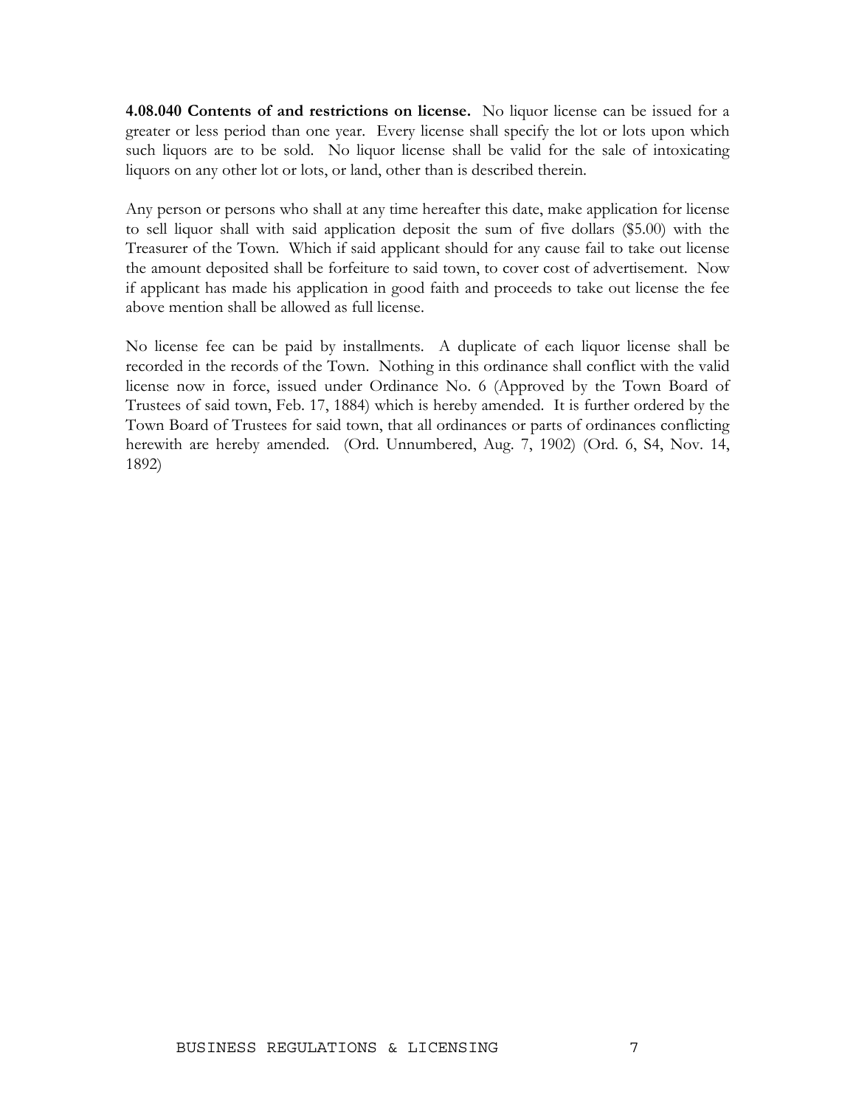**4.08.040 Contents of and restrictions on license.** No liquor license can be issued for a greater or less period than one year. Every license shall specify the lot or lots upon which such liquors are to be sold. No liquor license shall be valid for the sale of intoxicating liquors on any other lot or lots, or land, other than is described therein.

Any person or persons who shall at any time hereafter this date, make application for license to sell liquor shall with said application deposit the sum of five dollars (\$5.00) with the Treasurer of the Town. Which if said applicant should for any cause fail to take out license the amount deposited shall be forfeiture to said town, to cover cost of advertisement. Now if applicant has made his application in good faith and proceeds to take out license the fee above mention shall be allowed as full license.

No license fee can be paid by installments. A duplicate of each liquor license shall be recorded in the records of the Town. Nothing in this ordinance shall conflict with the valid license now in force, issued under Ordinance No. 6 (Approved by the Town Board of Trustees of said town, Feb. 17, 1884) which is hereby amended. It is further ordered by the Town Board of Trustees for said town, that all ordinances or parts of ordinances conflicting herewith are hereby amended. (Ord. Unnumbered, Aug. 7, 1902) (Ord. 6, S4, Nov. 14, 1892)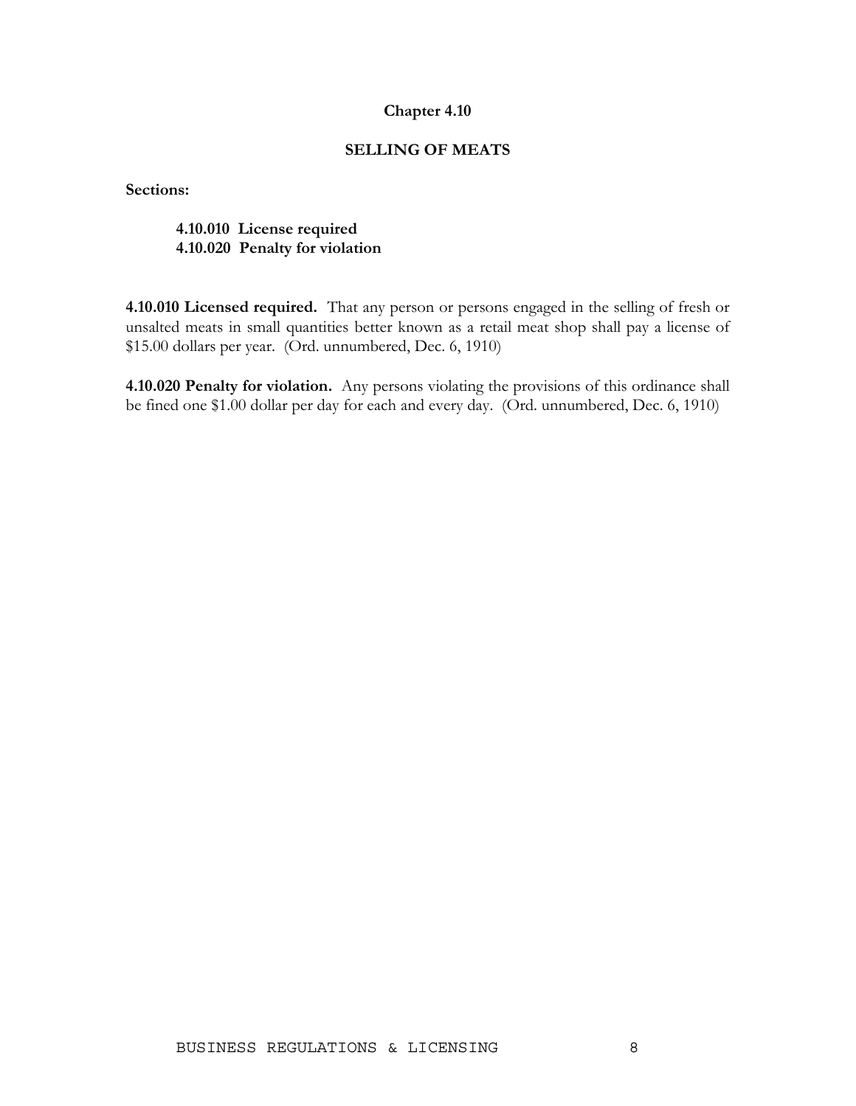### **SELLING OF MEATS**

**Sections:** 

### **4.10.010 License required 4.10.020 Penalty for violation**

**4.10.010 Licensed required.** That any person or persons engaged in the selling of fresh or unsalted meats in small quantities better known as a retail meat shop shall pay a license of \$15.00 dollars per year. (Ord. unnumbered, Dec. 6, 1910)

**4.10.020 Penalty for violation.** Any persons violating the provisions of this ordinance shall be fined one \$1.00 dollar per day for each and every day. (Ord. unnumbered, Dec. 6, 1910)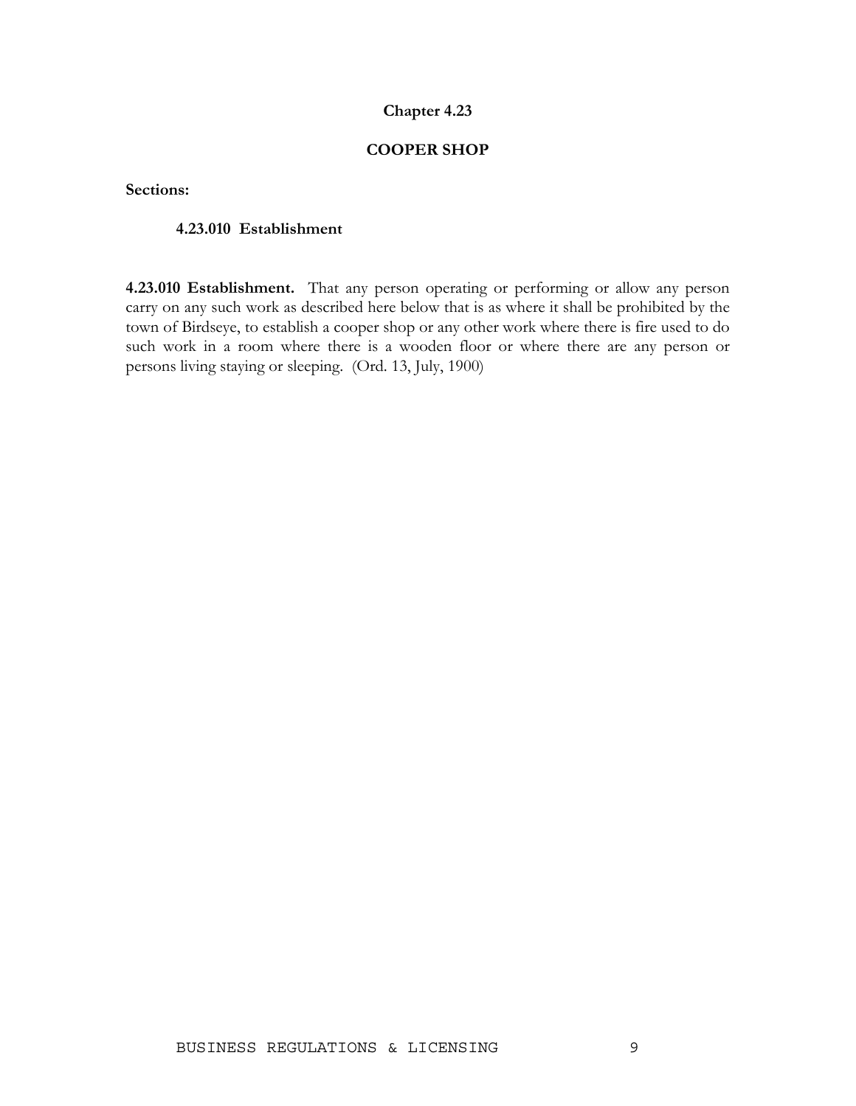### **COOPER SHOP**

**Sections:** 

#### **4.23.010 Establishment**

**4.23.010 Establishment.** That any person operating or performing or allow any person carry on any such work as described here below that is as where it shall be prohibited by the town of Birdseye, to establish a cooper shop or any other work where there is fire used to do such work in a room where there is a wooden floor or where there are any person or persons living staying or sleeping. (Ord. 13, July, 1900)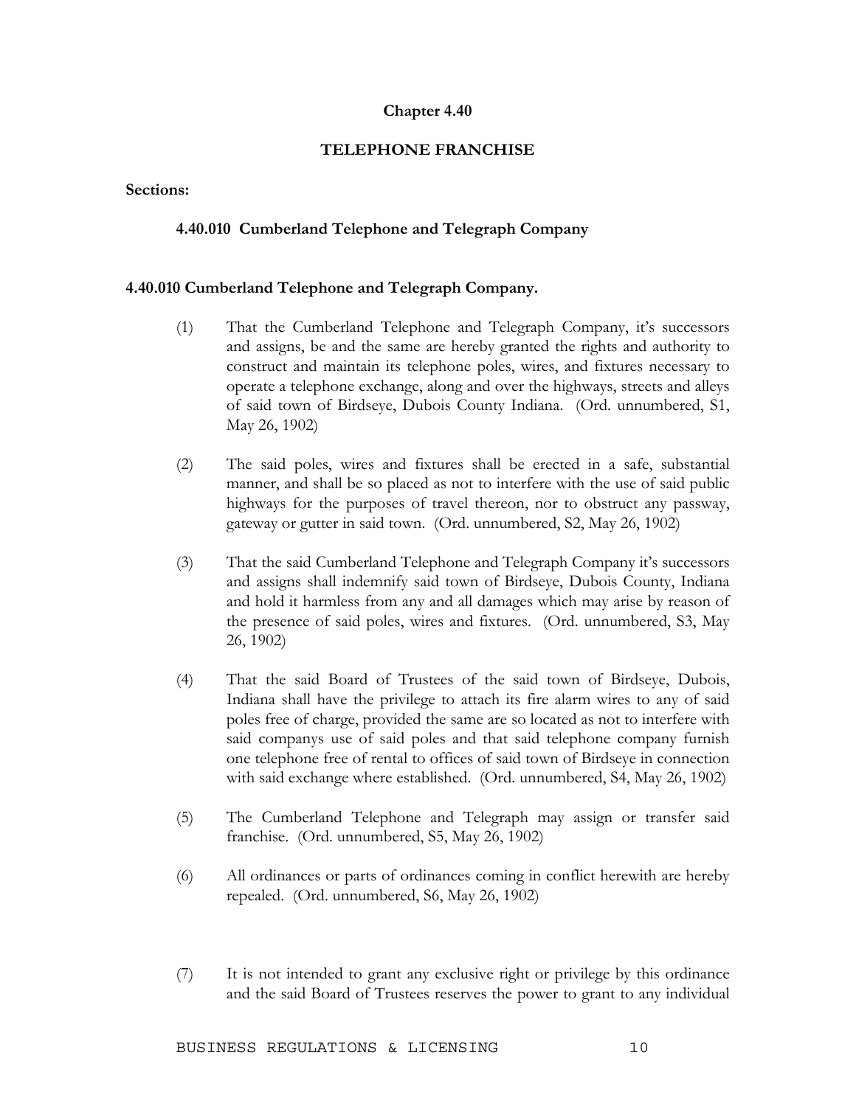### **TELEPHONE FRANCHISE**

#### **Sections:**

### **4.40.010 Cumberland Telephone and Telegraph Company**

#### **4.40.010 Cumberland Telephone and Telegraph Company.**

- (1) That the Cumberland Telephone and Telegraph Company, it's successors and assigns, be and the same are hereby granted the rights and authority to construct and maintain its telephone poles, wires, and fixtures necessary to operate a telephone exchange, along and over the highways, streets and alleys of said town of Birdseye, Dubois County Indiana. (Ord. unnumbered, S1, May 26, 1902)
- (2) The said poles, wires and fixtures shall be erected in a safe, substantial manner, and shall be so placed as not to interfere with the use of said public highways for the purposes of travel thereon, nor to obstruct any passway, gateway or gutter in said town. (Ord. unnumbered, S2, May 26, 1902)
- (3) That the said Cumberland Telephone and Telegraph Company it's successors and assigns shall indemnify said town of Birdseye, Dubois County, Indiana and hold it harmless from any and all damages which may arise by reason of the presence of said poles, wires and fixtures. (Ord. unnumbered, S3, May 26, 1902)
- (4) That the said Board of Trustees of the said town of Birdseye, Dubois, Indiana shall have the privilege to attach its fire alarm wires to any of said poles free of charge, provided the same are so located as not to interfere with said companys use of said poles and that said telephone company furnish one telephone free of rental to offices of said town of Birdseye in connection with said exchange where established. (Ord. unnumbered, S4, May 26, 1902)
- (5) The Cumberland Telephone and Telegraph may assign or transfer said franchise. (Ord. unnumbered, S5, May 26, 1902)
- (6) All ordinances or parts of ordinances coming in conflict herewith are hereby repealed. (Ord. unnumbered, S6, May 26, 1902)
- (7) It is not intended to grant any exclusive right or privilege by this ordinance and the said Board of Trustees reserves the power to grant to any individual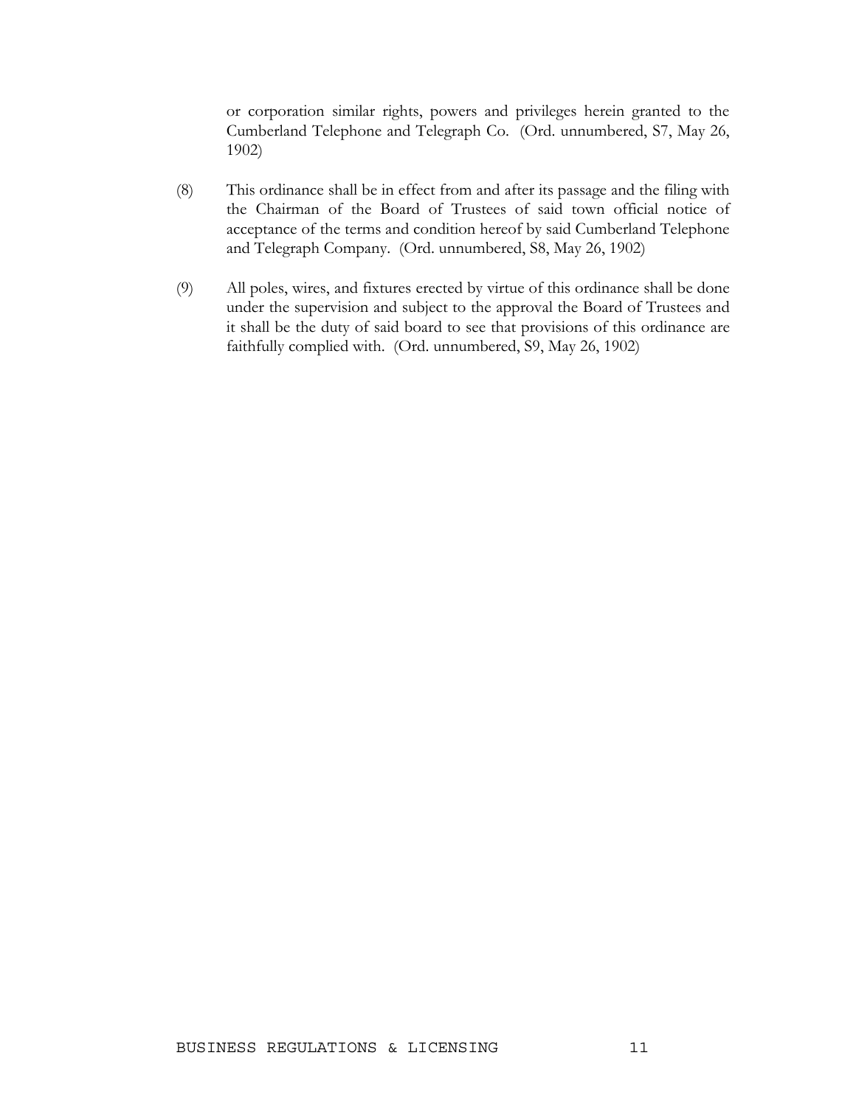or corporation similar rights, powers and privileges herein granted to the Cumberland Telephone and Telegraph Co. (Ord. unnumbered, S7, May 26, 1902)

- (8) This ordinance shall be in effect from and after its passage and the filing with the Chairman of the Board of Trustees of said town official notice of acceptance of the terms and condition hereof by said Cumberland Telephone and Telegraph Company. (Ord. unnumbered, S8, May 26, 1902)
- (9) All poles, wires, and fixtures erected by virtue of this ordinance shall be done under the supervision and subject to the approval the Board of Trustees and it shall be the duty of said board to see that provisions of this ordinance are faithfully complied with. (Ord. unnumbered, S9, May 26, 1902)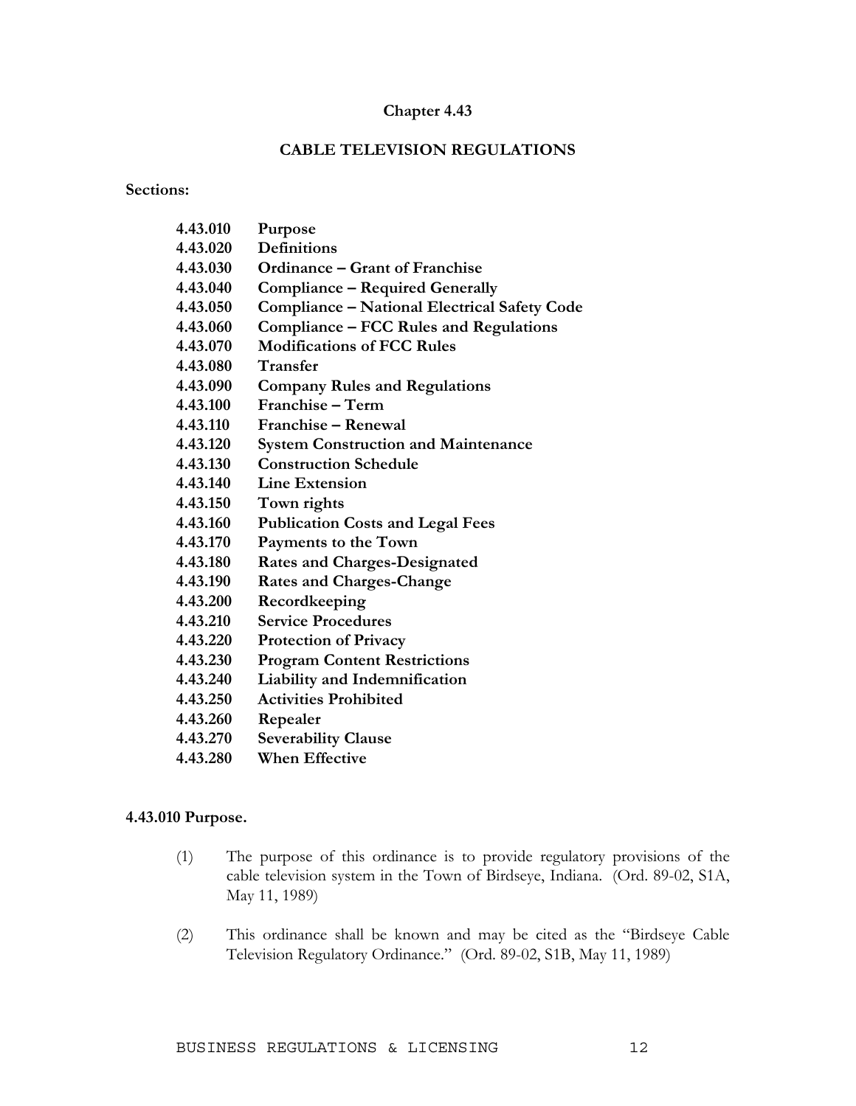### **CABLE TELEVISION REGULATIONS**

**Sections:** 

| 4.43.010 | Purpose                                      |
|----------|----------------------------------------------|
| 4.43.020 | <b>Definitions</b>                           |
| 4.43.030 | <b>Ordinance – Grant of Franchise</b>        |
| 4.43.040 | <b>Compliance – Required Generally</b>       |
| 4.43.050 | Compliance - National Electrical Safety Code |
| 4.43.060 | Compliance – FCC Rules and Regulations       |
| 4.43.070 | <b>Modifications of FCC Rules</b>            |
| 4.43.080 | <b>Transfer</b>                              |
| 4.43.090 | <b>Company Rules and Regulations</b>         |
| 4.43.100 | Franchise - Term                             |
| 4.43.110 | Franchise - Renewal                          |
| 4.43.120 | <b>System Construction and Maintenance</b>   |
| 4.43.130 | <b>Construction Schedule</b>                 |
| 4.43.140 | <b>Line Extension</b>                        |
| 4.43.150 | Town rights                                  |
| 4.43.160 | <b>Publication Costs and Legal Fees</b>      |
| 4.43.170 | Payments to the Town                         |
| 4.43.180 | <b>Rates and Charges-Designated</b>          |
| 4.43.190 | <b>Rates and Charges-Change</b>              |
| 4.43.200 | Recordkeeping                                |
| 4.43.210 | <b>Service Procedures</b>                    |
| 4.43.220 | <b>Protection of Privacy</b>                 |
| 4.43.230 | <b>Program Content Restrictions</b>          |
| 4.43.240 | Liability and Indemnification                |
| 4.43.250 | <b>Activities Prohibited</b>                 |
| 4.43.260 | Repealer                                     |
| 4.43.270 | <b>Severability Clause</b>                   |
| 4.43.280 | <b>When Effective</b>                        |
|          |                                              |

#### **4.43.010 Purpose.**

- (1) The purpose of this ordinance is to provide regulatory provisions of the cable television system in the Town of Birdseye, Indiana. (Ord. 89-02, S1A, May 11, 1989)
- (2) This ordinance shall be known and may be cited as the "Birdseye Cable Television Regulatory Ordinance." (Ord. 89-02, S1B, May 11, 1989)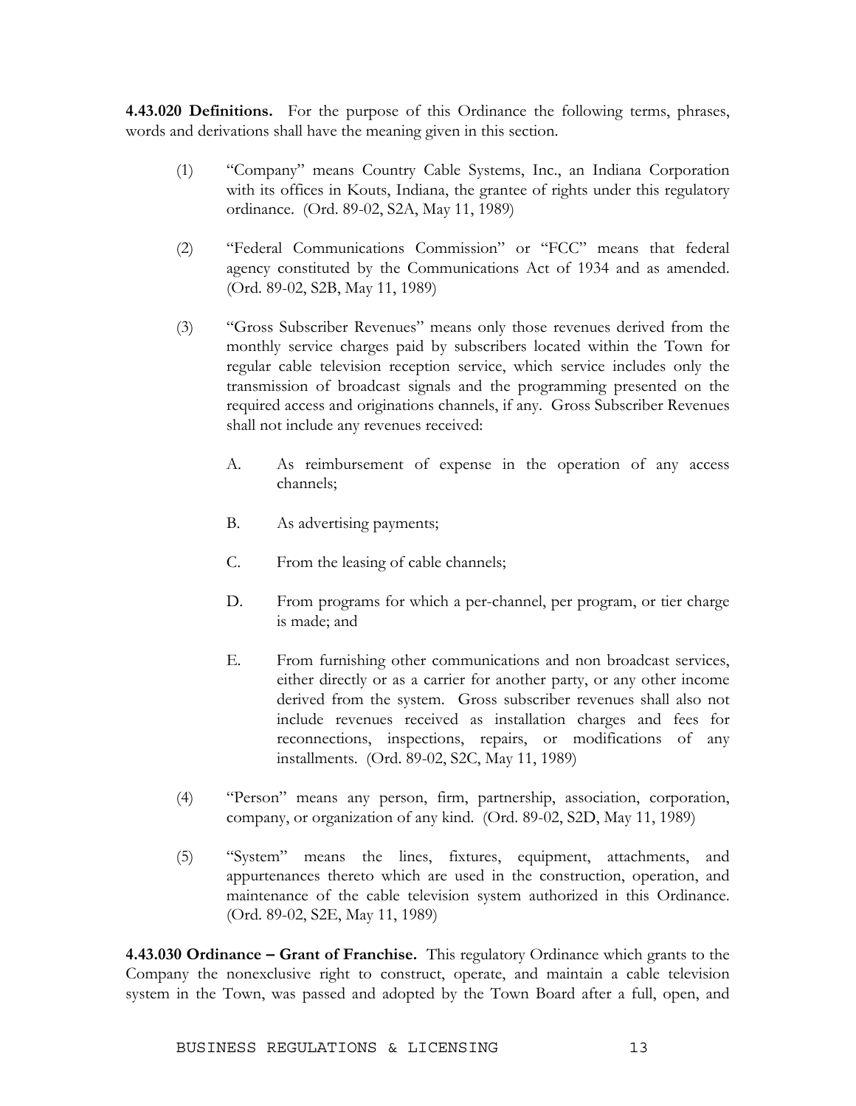**4.43.020 Definitions.** For the purpose of this Ordinance the following terms, phrases, words and derivations shall have the meaning given in this section.

- (1) "Company" means Country Cable Systems, Inc., an Indiana Corporation with its offices in Kouts, Indiana, the grantee of rights under this regulatory ordinance. (Ord. 89-02, S2A, May 11, 1989)
- (2) "Federal Communications Commission" or "FCC" means that federal agency constituted by the Communications Act of 1934 and as amended. (Ord. 89-02, S2B, May 11, 1989)
- (3) "Gross Subscriber Revenues" means only those revenues derived from the monthly service charges paid by subscribers located within the Town for regular cable television reception service, which service includes only the transmission of broadcast signals and the programming presented on the required access and originations channels, if any. Gross Subscriber Revenues shall not include any revenues received:
	- A. As reimbursement of expense in the operation of any access channels;
	- B. As advertising payments;
	- C. From the leasing of cable channels;
	- D. From programs for which a per-channel, per program, or tier charge is made; and
	- E. From furnishing other communications and non broadcast services, either directly or as a carrier for another party, or any other income derived from the system. Gross subscriber revenues shall also not include revenues received as installation charges and fees for reconnections, inspections, repairs, or modifications of any installments. (Ord. 89-02, S2C, May 11, 1989)
- (4) "Person" means any person, firm, partnership, association, corporation, company, or organization of any kind. (Ord. 89-02, S2D, May 11, 1989)
- (5) "System" means the lines, fixtures, equipment, attachments, and appurtenances thereto which are used in the construction, operation, and maintenance of the cable television system authorized in this Ordinance. (Ord. 89-02, S2E, May 11, 1989)

**4.43.030 Ordinance – Grant of Franchise.** This regulatory Ordinance which grants to the Company the nonexclusive right to construct, operate, and maintain a cable television system in the Town, was passed and adopted by the Town Board after a full, open, and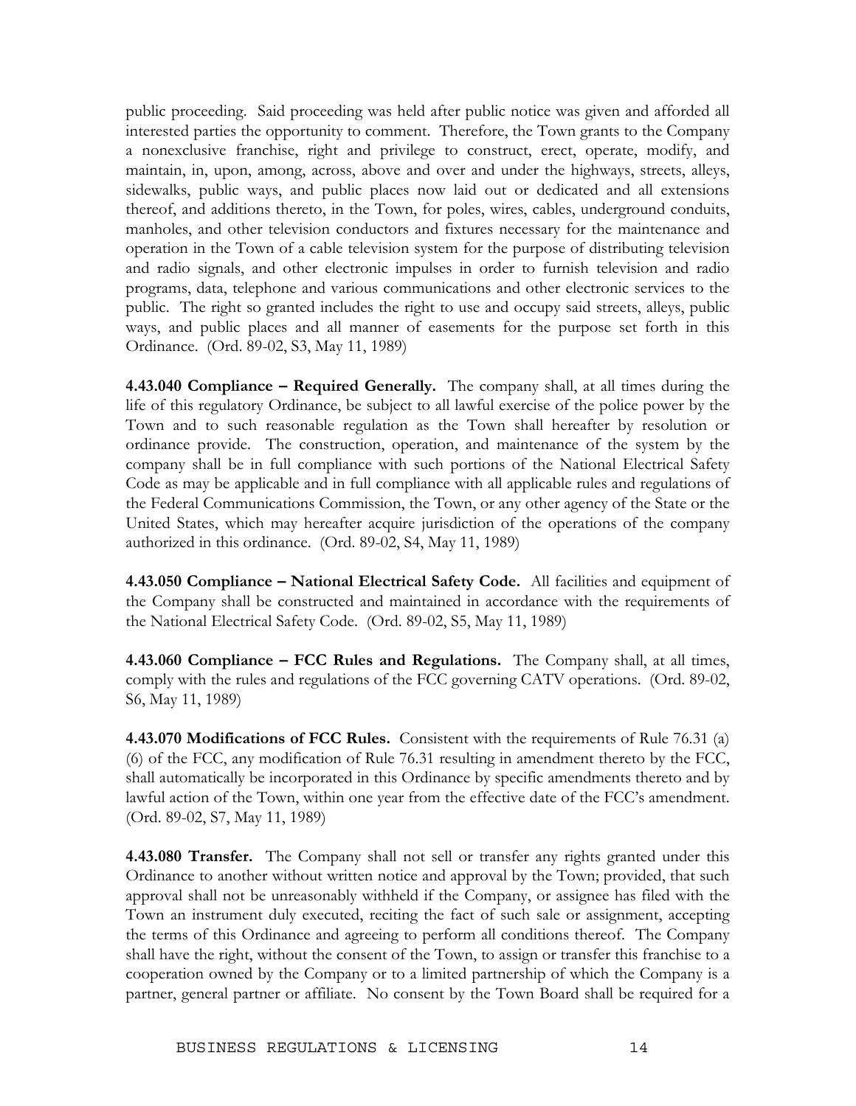public proceeding. Said proceeding was held after public notice was given and afforded all interested parties the opportunity to comment. Therefore, the Town grants to the Company a nonexclusive franchise, right and privilege to construct, erect, operate, modify, and maintain, in, upon, among, across, above and over and under the highways, streets, alleys, sidewalks, public ways, and public places now laid out or dedicated and all extensions thereof, and additions thereto, in the Town, for poles, wires, cables, underground conduits, manholes, and other television conductors and fixtures necessary for the maintenance and operation in the Town of a cable television system for the purpose of distributing television and radio signals, and other electronic impulses in order to furnish television and radio programs, data, telephone and various communications and other electronic services to the public. The right so granted includes the right to use and occupy said streets, alleys, public ways, and public places and all manner of easements for the purpose set forth in this Ordinance. (Ord. 89-02, S3, May 11, 1989)

**4.43.040 Compliance – Required Generally.** The company shall, at all times during the life of this regulatory Ordinance, be subject to all lawful exercise of the police power by the Town and to such reasonable regulation as the Town shall hereafter by resolution or ordinance provide. The construction, operation, and maintenance of the system by the company shall be in full compliance with such portions of the National Electrical Safety Code as may be applicable and in full compliance with all applicable rules and regulations of the Federal Communications Commission, the Town, or any other agency of the State or the United States, which may hereafter acquire jurisdiction of the operations of the company authorized in this ordinance. (Ord. 89-02, S4, May 11, 1989)

**4.43.050 Compliance – National Electrical Safety Code.** All facilities and equipment of the Company shall be constructed and maintained in accordance with the requirements of the National Electrical Safety Code. (Ord. 89-02, S5, May 11, 1989)

**4.43.060 Compliance – FCC Rules and Regulations.** The Company shall, at all times, comply with the rules and regulations of the FCC governing CATV operations. (Ord. 89-02, S6, May 11, 1989)

**4.43.070 Modifications of FCC Rules.** Consistent with the requirements of Rule 76.31 (a) (6) of the FCC, any modification of Rule 76.31 resulting in amendment thereto by the FCC, shall automatically be incorporated in this Ordinance by specific amendments thereto and by lawful action of the Town, within one year from the effective date of the FCC's amendment. (Ord. 89-02, S7, May 11, 1989)

**4.43.080 Transfer.** The Company shall not sell or transfer any rights granted under this Ordinance to another without written notice and approval by the Town; provided, that such approval shall not be unreasonably withheld if the Company, or assignee has filed with the Town an instrument duly executed, reciting the fact of such sale or assignment, accepting the terms of this Ordinance and agreeing to perform all conditions thereof. The Company shall have the right, without the consent of the Town, to assign or transfer this franchise to a cooperation owned by the Company or to a limited partnership of which the Company is a partner, general partner or affiliate. No consent by the Town Board shall be required for a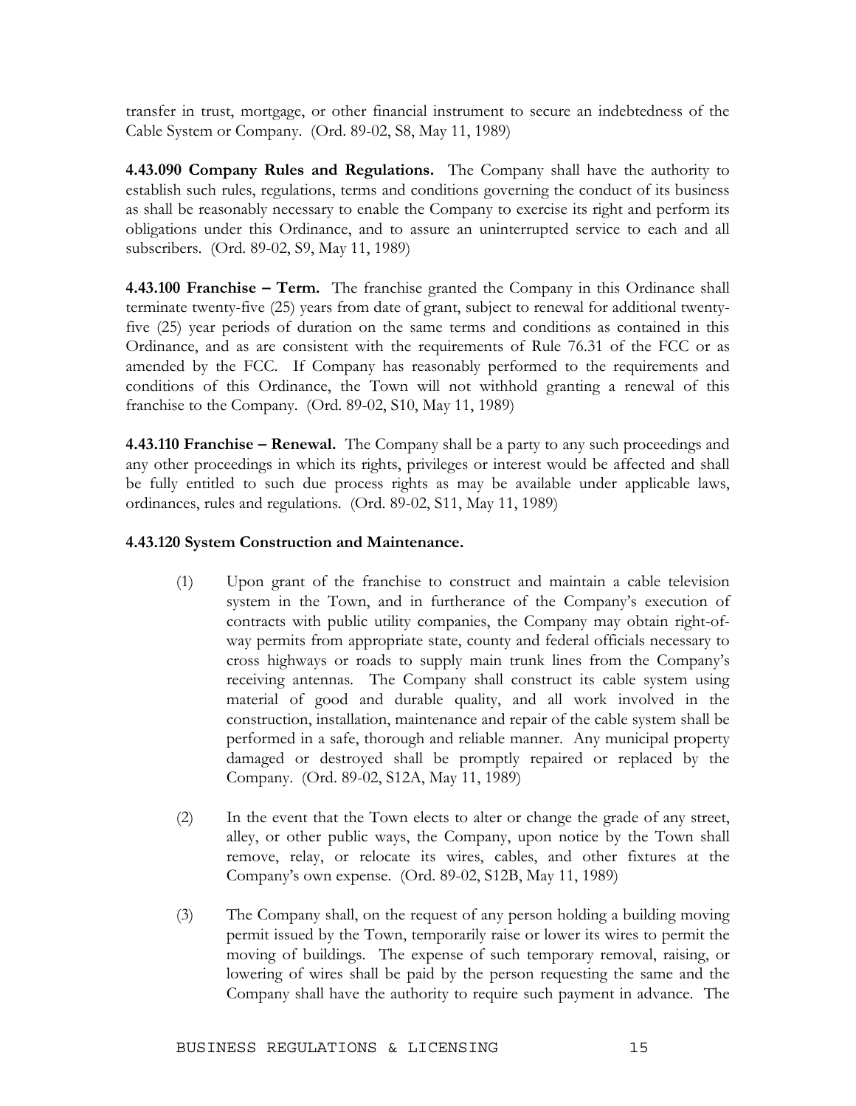transfer in trust, mortgage, or other financial instrument to secure an indebtedness of the Cable System or Company. (Ord. 89-02, S8, May 11, 1989)

**4.43.090 Company Rules and Regulations.** The Company shall have the authority to establish such rules, regulations, terms and conditions governing the conduct of its business as shall be reasonably necessary to enable the Company to exercise its right and perform its obligations under this Ordinance, and to assure an uninterrupted service to each and all subscribers. (Ord. 89-02, S9, May 11, 1989)

**4.43.100 Franchise – Term.** The franchise granted the Company in this Ordinance shall terminate twenty-five (25) years from date of grant, subject to renewal for additional twentyfive (25) year periods of duration on the same terms and conditions as contained in this Ordinance, and as are consistent with the requirements of Rule 76.31 of the FCC or as amended by the FCC. If Company has reasonably performed to the requirements and conditions of this Ordinance, the Town will not withhold granting a renewal of this franchise to the Company. (Ord. 89-02, S10, May 11, 1989)

**4.43.110 Franchise – Renewal.** The Company shall be a party to any such proceedings and any other proceedings in which its rights, privileges or interest would be affected and shall be fully entitled to such due process rights as may be available under applicable laws, ordinances, rules and regulations. (Ord. 89-02, S11, May 11, 1989)

### **4.43.120 System Construction and Maintenance.**

- (1) Upon grant of the franchise to construct and maintain a cable television system in the Town, and in furtherance of the Company's execution of contracts with public utility companies, the Company may obtain right-ofway permits from appropriate state, county and federal officials necessary to cross highways or roads to supply main trunk lines from the Company's receiving antennas. The Company shall construct its cable system using material of good and durable quality, and all work involved in the construction, installation, maintenance and repair of the cable system shall be performed in a safe, thorough and reliable manner. Any municipal property damaged or destroyed shall be promptly repaired or replaced by the Company. (Ord. 89-02, S12A, May 11, 1989)
- (2) In the event that the Town elects to alter or change the grade of any street, alley, or other public ways, the Company, upon notice by the Town shall remove, relay, or relocate its wires, cables, and other fixtures at the Company's own expense. (Ord. 89-02, S12B, May 11, 1989)
- (3) The Company shall, on the request of any person holding a building moving permit issued by the Town, temporarily raise or lower its wires to permit the moving of buildings. The expense of such temporary removal, raising, or lowering of wires shall be paid by the person requesting the same and the Company shall have the authority to require such payment in advance. The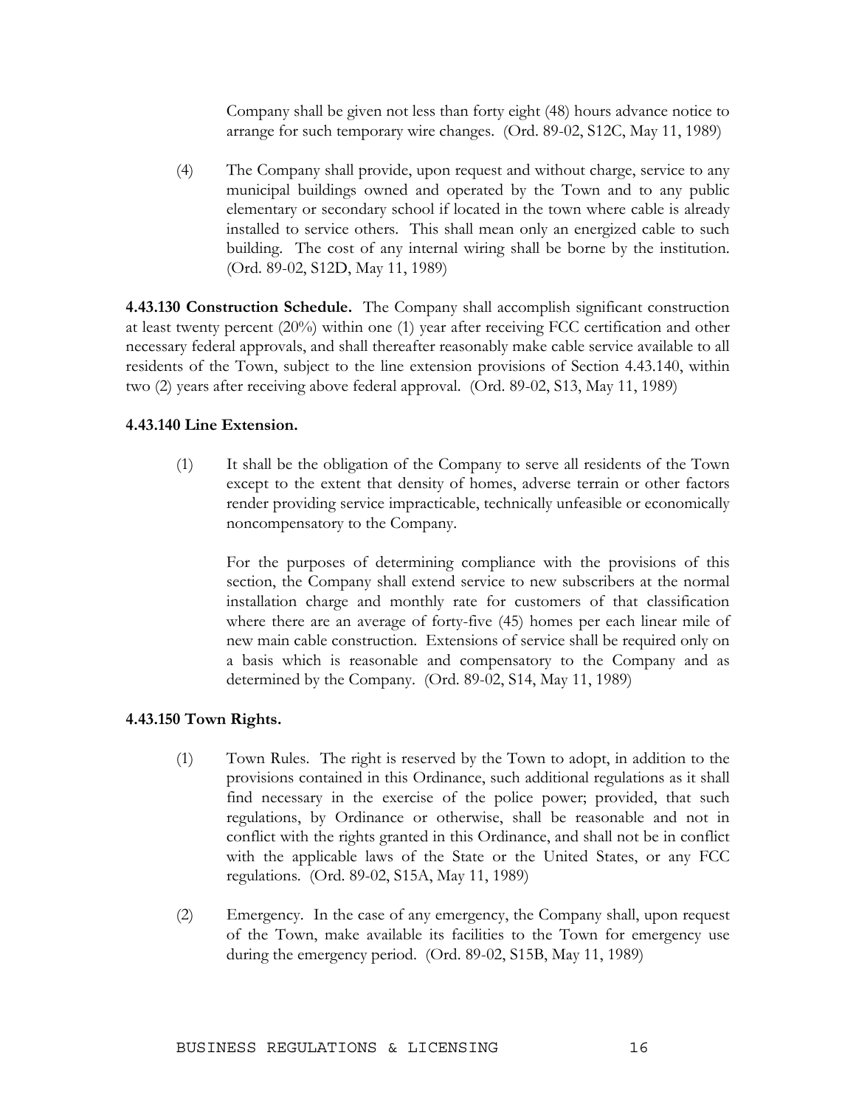Company shall be given not less than forty eight (48) hours advance notice to arrange for such temporary wire changes. (Ord. 89-02, S12C, May 11, 1989)

(4) The Company shall provide, upon request and without charge, service to any municipal buildings owned and operated by the Town and to any public elementary or secondary school if located in the town where cable is already installed to service others. This shall mean only an energized cable to such building. The cost of any internal wiring shall be borne by the institution. (Ord. 89-02, S12D, May 11, 1989)

**4.43.130 Construction Schedule.** The Company shall accomplish significant construction at least twenty percent (20%) within one (1) year after receiving FCC certification and other necessary federal approvals, and shall thereafter reasonably make cable service available to all residents of the Town, subject to the line extension provisions of Section 4.43.140, within two (2) years after receiving above federal approval. (Ord. 89-02, S13, May 11, 1989)

### **4.43.140 Line Extension.**

(1) It shall be the obligation of the Company to serve all residents of the Town except to the extent that density of homes, adverse terrain or other factors render providing service impracticable, technically unfeasible or economically noncompensatory to the Company.

 For the purposes of determining compliance with the provisions of this section, the Company shall extend service to new subscribers at the normal installation charge and monthly rate for customers of that classification where there are an average of forty-five (45) homes per each linear mile of new main cable construction. Extensions of service shall be required only on a basis which is reasonable and compensatory to the Company and as determined by the Company. (Ord. 89-02, S14, May 11, 1989)

### **4.43.150 Town Rights.**

- (1) Town Rules. The right is reserved by the Town to adopt, in addition to the provisions contained in this Ordinance, such additional regulations as it shall find necessary in the exercise of the police power; provided, that such regulations, by Ordinance or otherwise, shall be reasonable and not in conflict with the rights granted in this Ordinance, and shall not be in conflict with the applicable laws of the State or the United States, or any FCC regulations. (Ord. 89-02, S15A, May 11, 1989)
- (2) Emergency. In the case of any emergency, the Company shall, upon request of the Town, make available its facilities to the Town for emergency use during the emergency period. (Ord. 89-02, S15B, May 11, 1989)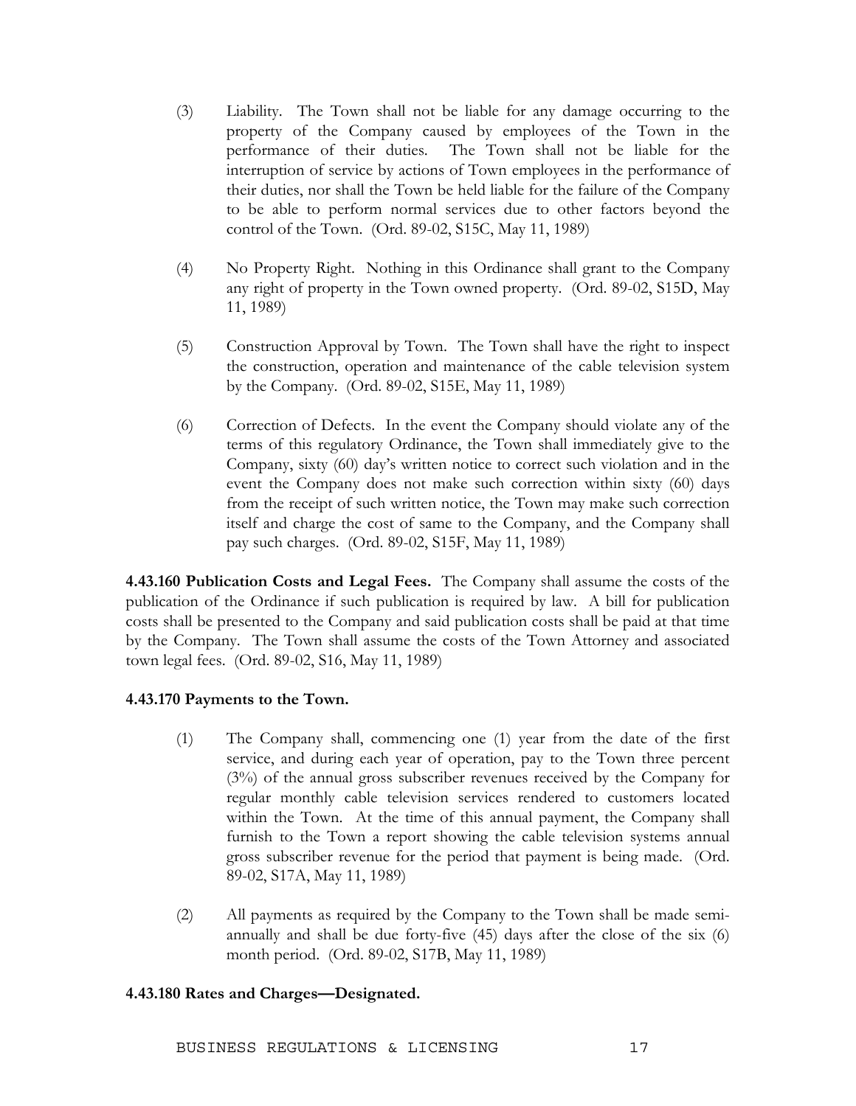- (3) Liability. The Town shall not be liable for any damage occurring to the property of the Company caused by employees of the Town in the performance of their duties. The Town shall not be liable for the interruption of service by actions of Town employees in the performance of their duties, nor shall the Town be held liable for the failure of the Company to be able to perform normal services due to other factors beyond the control of the Town. (Ord. 89-02, S15C, May 11, 1989)
- (4) No Property Right. Nothing in this Ordinance shall grant to the Company any right of property in the Town owned property. (Ord. 89-02, S15D, May 11, 1989)
- (5) Construction Approval by Town. The Town shall have the right to inspect the construction, operation and maintenance of the cable television system by the Company. (Ord. 89-02, S15E, May 11, 1989)
- (6) Correction of Defects. In the event the Company should violate any of the terms of this regulatory Ordinance, the Town shall immediately give to the Company, sixty (60) day's written notice to correct such violation and in the event the Company does not make such correction within sixty (60) days from the receipt of such written notice, the Town may make such correction itself and charge the cost of same to the Company, and the Company shall pay such charges. (Ord. 89-02, S15F, May 11, 1989)

**4.43.160 Publication Costs and Legal Fees.** The Company shall assume the costs of the publication of the Ordinance if such publication is required by law. A bill for publication costs shall be presented to the Company and said publication costs shall be paid at that time by the Company. The Town shall assume the costs of the Town Attorney and associated town legal fees. (Ord. 89-02, S16, May 11, 1989)

### **4.43.170 Payments to the Town.**

- (1) The Company shall, commencing one (1) year from the date of the first service, and during each year of operation, pay to the Town three percent (3%) of the annual gross subscriber revenues received by the Company for regular monthly cable television services rendered to customers located within the Town. At the time of this annual payment, the Company shall furnish to the Town a report showing the cable television systems annual gross subscriber revenue for the period that payment is being made. (Ord. 89-02, S17A, May 11, 1989)
- (2) All payments as required by the Company to the Town shall be made semiannually and shall be due forty-five (45) days after the close of the six (6) month period. (Ord. 89-02, S17B, May 11, 1989)

### **4.43.180 Rates and Charges—Designated.**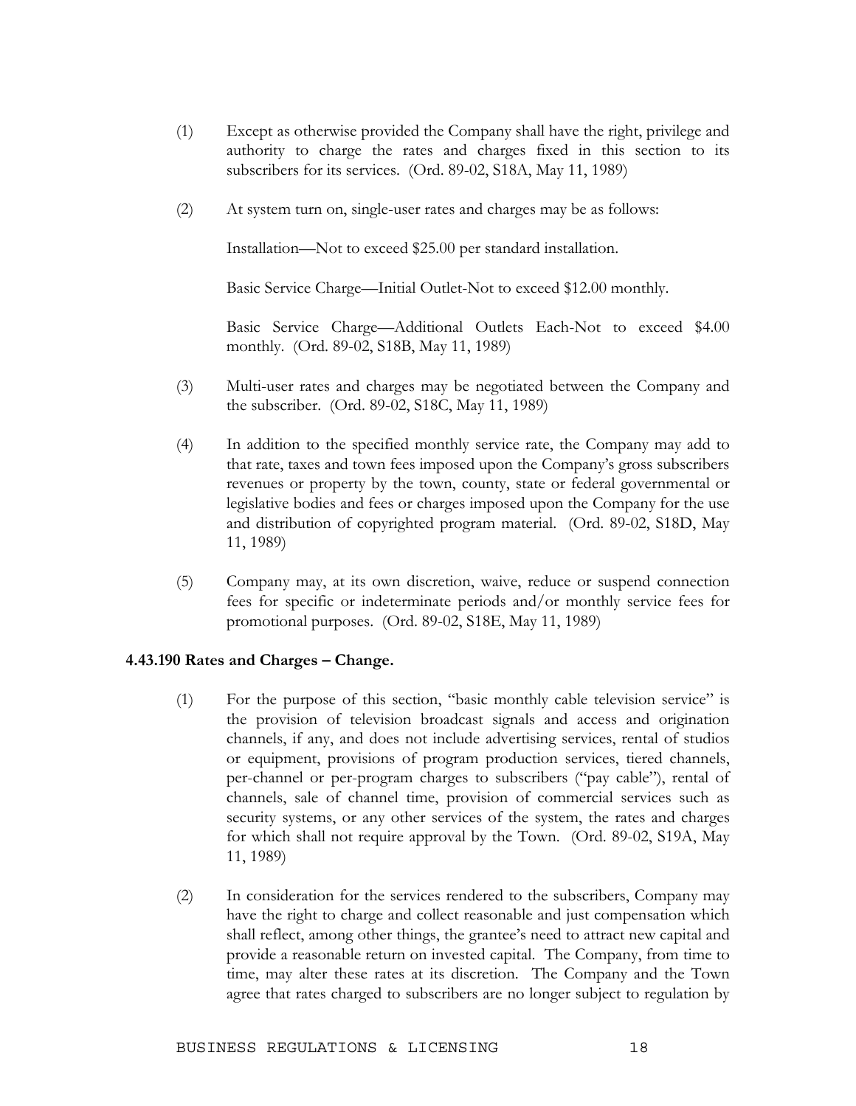- (1) Except as otherwise provided the Company shall have the right, privilege and authority to charge the rates and charges fixed in this section to its subscribers for its services. (Ord. 89-02, S18A, May 11, 1989)
- (2) At system turn on, single-user rates and charges may be as follows:

Installation—Not to exceed \$25.00 per standard installation.

Basic Service Charge—Initial Outlet-Not to exceed \$12.00 monthly.

 Basic Service Charge—Additional Outlets Each-Not to exceed \$4.00 monthly. (Ord. 89-02, S18B, May 11, 1989)

- (3) Multi-user rates and charges may be negotiated between the Company and the subscriber. (Ord. 89-02, S18C, May 11, 1989)
- (4) In addition to the specified monthly service rate, the Company may add to that rate, taxes and town fees imposed upon the Company's gross subscribers revenues or property by the town, county, state or federal governmental or legislative bodies and fees or charges imposed upon the Company for the use and distribution of copyrighted program material. (Ord. 89-02, S18D, May 11, 1989)
- (5) Company may, at its own discretion, waive, reduce or suspend connection fees for specific or indeterminate periods and/or monthly service fees for promotional purposes. (Ord. 89-02, S18E, May 11, 1989)

### **4.43.190 Rates and Charges – Change.**

- (1) For the purpose of this section, "basic monthly cable television service" is the provision of television broadcast signals and access and origination channels, if any, and does not include advertising services, rental of studios or equipment, provisions of program production services, tiered channels, per-channel or per-program charges to subscribers ("pay cable"), rental of channels, sale of channel time, provision of commercial services such as security systems, or any other services of the system, the rates and charges for which shall not require approval by the Town. (Ord. 89-02, S19A, May 11, 1989)
- (2) In consideration for the services rendered to the subscribers, Company may have the right to charge and collect reasonable and just compensation which shall reflect, among other things, the grantee's need to attract new capital and provide a reasonable return on invested capital. The Company, from time to time, may alter these rates at its discretion. The Company and the Town agree that rates charged to subscribers are no longer subject to regulation by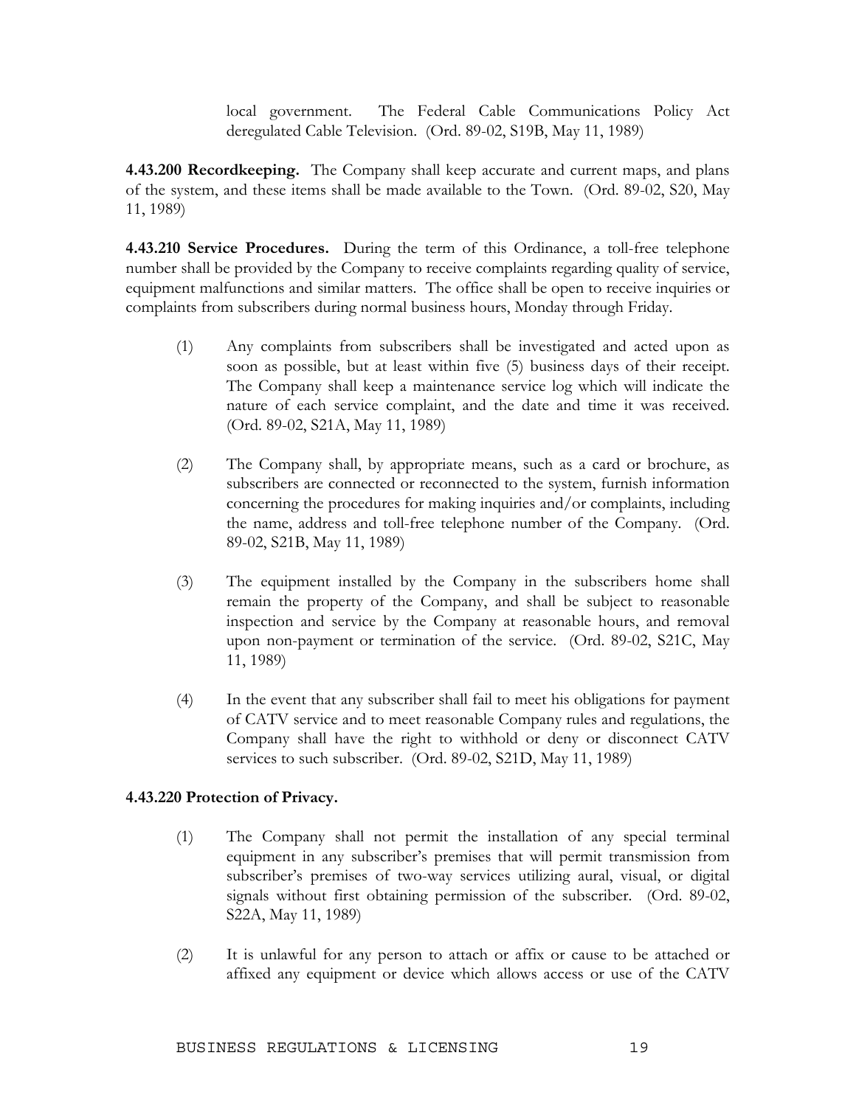local government. The Federal Cable Communications Policy Act deregulated Cable Television. (Ord. 89-02, S19B, May 11, 1989)

**4.43.200 Recordkeeping.** The Company shall keep accurate and current maps, and plans of the system, and these items shall be made available to the Town. (Ord. 89-02, S20, May 11, 1989)

**4.43.210 Service Procedures.** During the term of this Ordinance, a toll-free telephone number shall be provided by the Company to receive complaints regarding quality of service, equipment malfunctions and similar matters. The office shall be open to receive inquiries or complaints from subscribers during normal business hours, Monday through Friday.

- (1) Any complaints from subscribers shall be investigated and acted upon as soon as possible, but at least within five (5) business days of their receipt. The Company shall keep a maintenance service log which will indicate the nature of each service complaint, and the date and time it was received. (Ord. 89-02, S21A, May 11, 1989)
- (2) The Company shall, by appropriate means, such as a card or brochure, as subscribers are connected or reconnected to the system, furnish information concerning the procedures for making inquiries and/or complaints, including the name, address and toll-free telephone number of the Company. (Ord. 89-02, S21B, May 11, 1989)
- (3) The equipment installed by the Company in the subscribers home shall remain the property of the Company, and shall be subject to reasonable inspection and service by the Company at reasonable hours, and removal upon non-payment or termination of the service. (Ord. 89-02, S21C, May 11, 1989)
- (4) In the event that any subscriber shall fail to meet his obligations for payment of CATV service and to meet reasonable Company rules and regulations, the Company shall have the right to withhold or deny or disconnect CATV services to such subscriber. (Ord. 89-02, S21D, May 11, 1989)

### **4.43.220 Protection of Privacy.**

- (1) The Company shall not permit the installation of any special terminal equipment in any subscriber's premises that will permit transmission from subscriber's premises of two-way services utilizing aural, visual, or digital signals without first obtaining permission of the subscriber. (Ord. 89-02, S22A, May 11, 1989)
- (2) It is unlawful for any person to attach or affix or cause to be attached or affixed any equipment or device which allows access or use of the CATV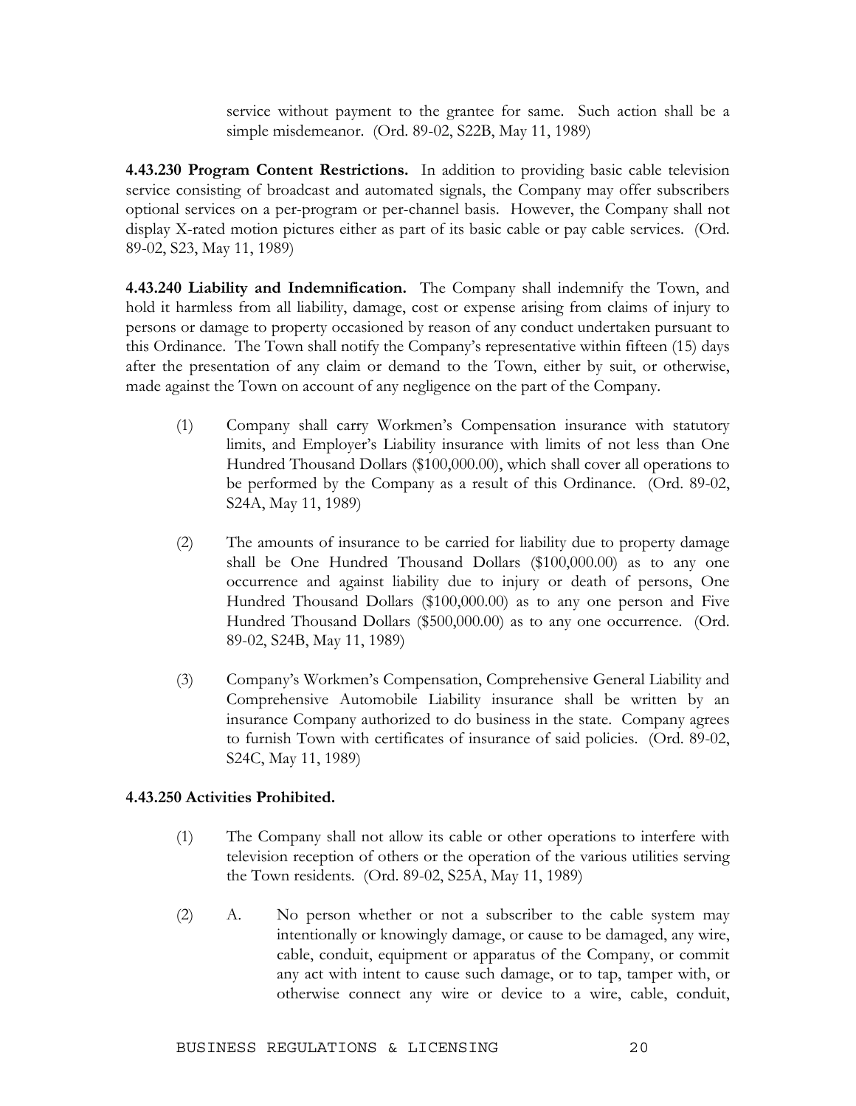service without payment to the grantee for same. Such action shall be a simple misdemeanor. (Ord. 89-02, S22B, May 11, 1989)

**4.43.230 Program Content Restrictions.** In addition to providing basic cable television service consisting of broadcast and automated signals, the Company may offer subscribers optional services on a per-program or per-channel basis. However, the Company shall not display X-rated motion pictures either as part of its basic cable or pay cable services. (Ord. 89-02, S23, May 11, 1989)

**4.43.240 Liability and Indemnification.** The Company shall indemnify the Town, and hold it harmless from all liability, damage, cost or expense arising from claims of injury to persons or damage to property occasioned by reason of any conduct undertaken pursuant to this Ordinance. The Town shall notify the Company's representative within fifteen (15) days after the presentation of any claim or demand to the Town, either by suit, or otherwise, made against the Town on account of any negligence on the part of the Company.

- (1) Company shall carry Workmen's Compensation insurance with statutory limits, and Employer's Liability insurance with limits of not less than One Hundred Thousand Dollars (\$100,000.00), which shall cover all operations to be performed by the Company as a result of this Ordinance. (Ord. 89-02, S24A, May 11, 1989)
- (2) The amounts of insurance to be carried for liability due to property damage shall be One Hundred Thousand Dollars (\$100,000.00) as to any one occurrence and against liability due to injury or death of persons, One Hundred Thousand Dollars (\$100,000.00) as to any one person and Five Hundred Thousand Dollars (\$500,000.00) as to any one occurrence. (Ord. 89-02, S24B, May 11, 1989)
- (3) Company's Workmen's Compensation, Comprehensive General Liability and Comprehensive Automobile Liability insurance shall be written by an insurance Company authorized to do business in the state. Company agrees to furnish Town with certificates of insurance of said policies. (Ord. 89-02, S24C, May 11, 1989)

### **4.43.250 Activities Prohibited.**

- (1) The Company shall not allow its cable or other operations to interfere with television reception of others or the operation of the various utilities serving the Town residents. (Ord. 89-02, S25A, May 11, 1989)
- (2) A. No person whether or not a subscriber to the cable system may intentionally or knowingly damage, or cause to be damaged, any wire, cable, conduit, equipment or apparatus of the Company, or commit any act with intent to cause such damage, or to tap, tamper with, or otherwise connect any wire or device to a wire, cable, conduit,